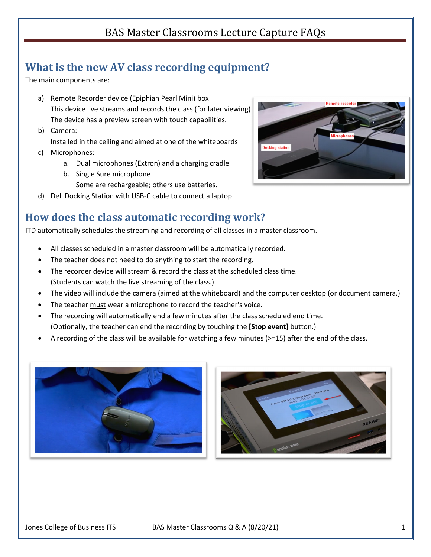# BAS Master Classrooms Lecture Capture FAQs

## **What is the new AV class recording equipment?**

The main components are:

- a) Remote Recorder device (Epiphian Pearl Mini) box This device live streams and records the class (for later viewing) The device has a preview screen with touch capabilities.
- b) Camera: Installed in the ceiling and aimed at one of the whiteboards
- c) Microphones:
	- a. Dual microphones (Extron) and a charging cradle
	- b. Single Sure microphone
		- Some are rechargeable; others use batteries.
- d) Dell Docking Station with USB-C cable to connect a laptop

### **How does the class automatic recording work?**

ITD automatically schedules the streaming and recording of all classes in a master classroom.

- All classes scheduled in a master classroom will be automatically recorded.
- The teacher does not need to do anything to start the recording.
- The recorder device will stream & record the class at the scheduled class time. (Students can watch the live streaming of the class.)
- The video will include the camera (aimed at the whiteboard) and the computer desktop (or document camera.)
- The teacher must wear a microphone to record the teacher's voice.
- The recording will automatically end a few minutes after the class scheduled end time. (Optionally, the teacher can end the recording by touching the **[Stop event]** button.)
- A recording of the class will be available for watching a few minutes (>=15) after the end of the class.





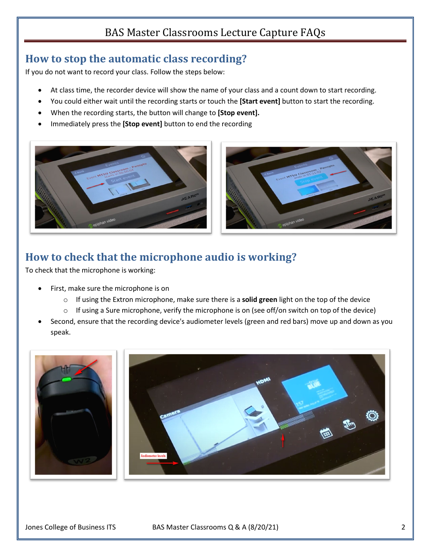# BAS Master Classrooms Lecture Capture FAQs

#### **How to stop the automatic class recording?**

If you do not want to record your class. Follow the steps below:

- At class time, the recorder device will show the name of your class and a count down to start recording.
- You could either wait until the recording starts or touch the **[Start event]** button to start the recording.
- When the recording starts, the button will change to **[Stop event].**
- Immediately press the **[Stop event]** button to end the recording





### **How to check that the microphone audio is working?**

To check that the microphone is working:

- First, make sure the microphone is on
	- o If using the Extron microphone, make sure there is a **solid green** light on the top of the device
	- $\circ$  If using a Sure microphone, verify the microphone is on (see off/on switch on top of the device)
- Second, ensure that the recording device's audiometer levels (green and red bars) move up and down as you speak.



Jones College of Business ITS BAS Master Classrooms Q & A (8/20/21) 2